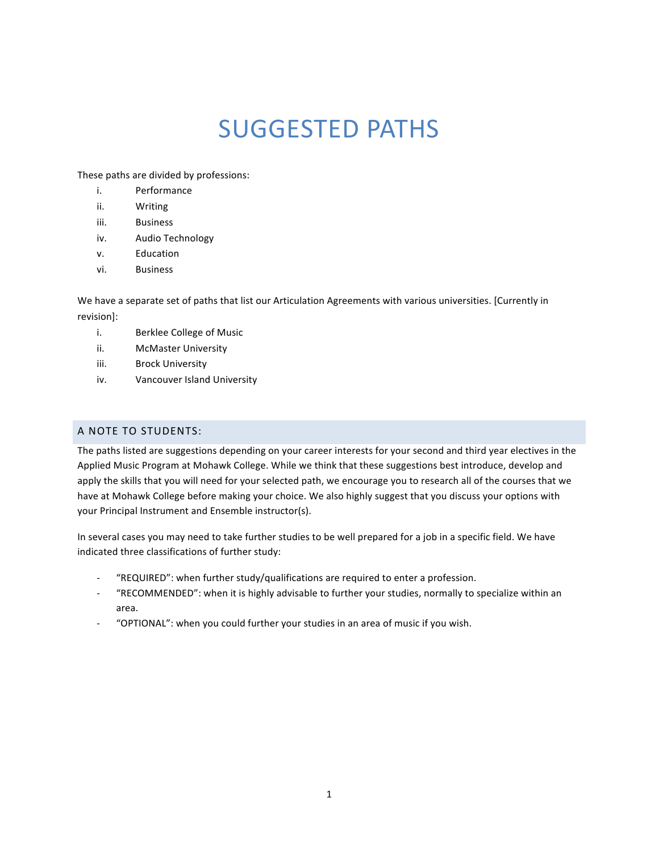# SUGGESTED PATHS

These paths are divided by professions:

- i. Performance
- ii. Writing
- iii. Business
- iv. Audio Technology
- v. Education
- vi. Business

We have a separate set of paths that list our Articulation Agreements with various universities. [Currently in revision]:

- i. Berklee College of Music
- ii. McMaster University
- iii. Brock University
- iv. Vancouver Island University

#### A NOTE TO STUDENTS:

The paths listed are suggestions depending on your career interests for your second and third year electives in the Applied Music Program at Mohawk College. While we think that these suggestions best introduce, develop and apply the skills that you will need for your selected path, we encourage you to research all of the courses that we have at Mohawk College before making your choice. We also highly suggest that you discuss your options with your Principal Instrument and Ensemble instructor(s).

In several cases you may need to take further studies to be well prepared for a job in a specific field. We have indicated three classifications of further study:

- "REQUIRED": when further study/qualifications are required to enter a profession.
- "RECOMMENDED": when it is highly advisable to further your studies, normally to specialize within an area.
- "OPTIONAL": when you could further your studies in an area of music if you wish.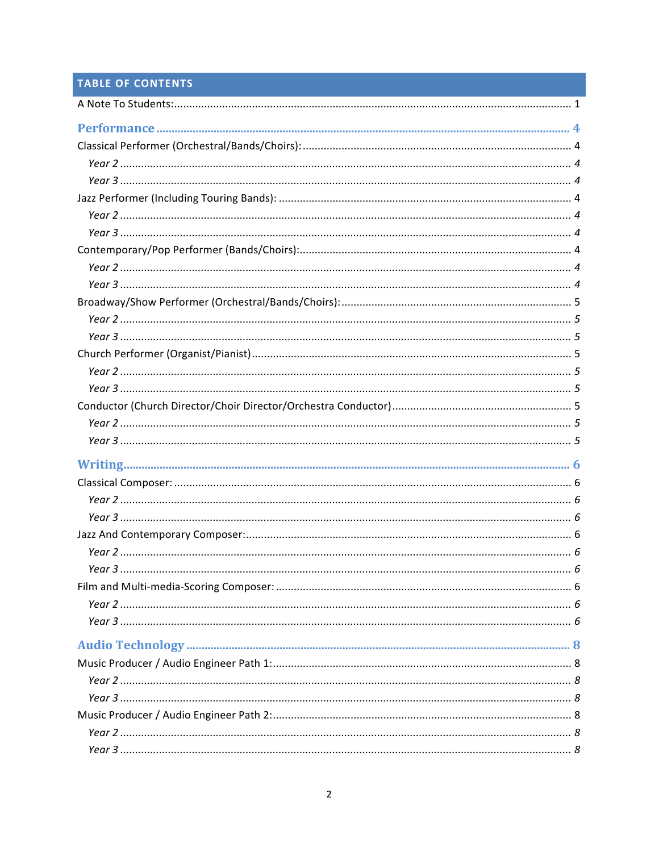# **TABLE OF CONTENTS**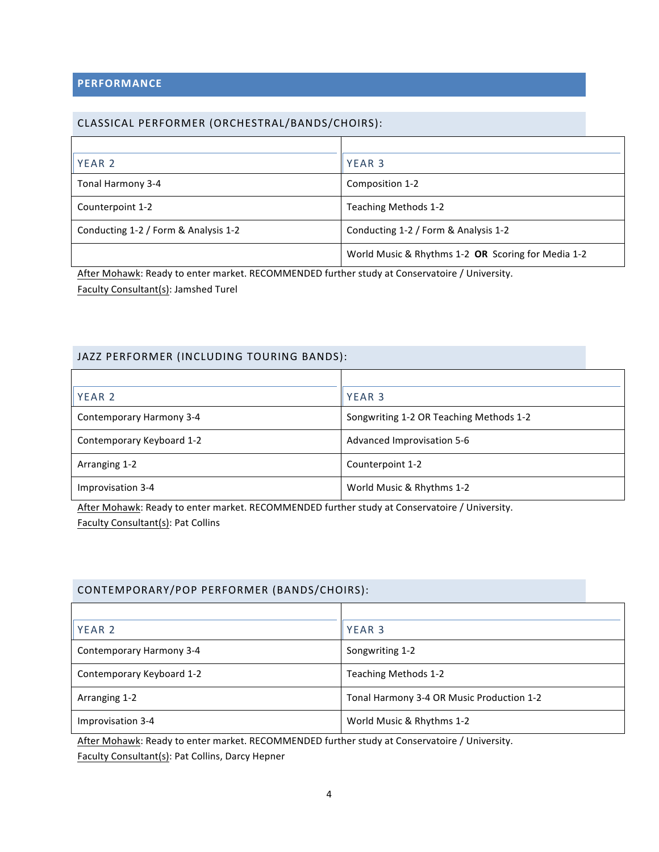## **PERFORMANCE**

#### CLASSICAL PERFORMER (ORCHESTRAL/BANDS/CHOIRS):

| YEAR <sub>2</sub>                    | YEAR <sub>3</sub>                                  |
|--------------------------------------|----------------------------------------------------|
| Tonal Harmony 3-4                    | Composition 1-2                                    |
| Counterpoint 1-2                     | Teaching Methods 1-2                               |
| Conducting 1-2 / Form & Analysis 1-2 | Conducting 1-2 / Form & Analysis 1-2               |
|                                      | World Music & Rhythms 1-2 OR Scoring for Media 1-2 |

After Mohawk: Ready to enter market. RECOMMENDED further study at Conservatoire / University. Faculty Consultant(s): Jamshed Turel

# JAZZ PERFORMER (INCLUDING TOURING BANDS):

| YEAR 2                    | <b>YEAR 3</b>                           |
|---------------------------|-----------------------------------------|
| Contemporary Harmony 3-4  | Songwriting 1-2 OR Teaching Methods 1-2 |
| Contemporary Keyboard 1-2 | Advanced Improvisation 5-6              |
| Arranging 1-2             | Counterpoint 1-2                        |
| Improvisation 3-4         | World Music & Rhythms 1-2               |

After Mohawk: Ready to enter market. RECOMMENDED further study at Conservatoire / University. Faculty Consultant(s): Pat Collins

| CONTEMPORARY/POP PERFORMER (BANDS/CHOIRS): |                                           |
|--------------------------------------------|-------------------------------------------|
|                                            |                                           |
| <b>YEAR 2</b>                              | YEAR 3                                    |
| Contemporary Harmony 3-4                   | Songwriting 1-2                           |
| Contemporary Keyboard 1-2                  | Teaching Methods 1-2                      |
| Arranging 1-2                              | Tonal Harmony 3-4 OR Music Production 1-2 |
| Improvisation 3-4                          | World Music & Rhythms 1-2                 |

After Mohawk: Ready to enter market. RECOMMENDED further study at Conservatoire / University. Faculty Consultant(s): Pat Collins, Darcy Hepner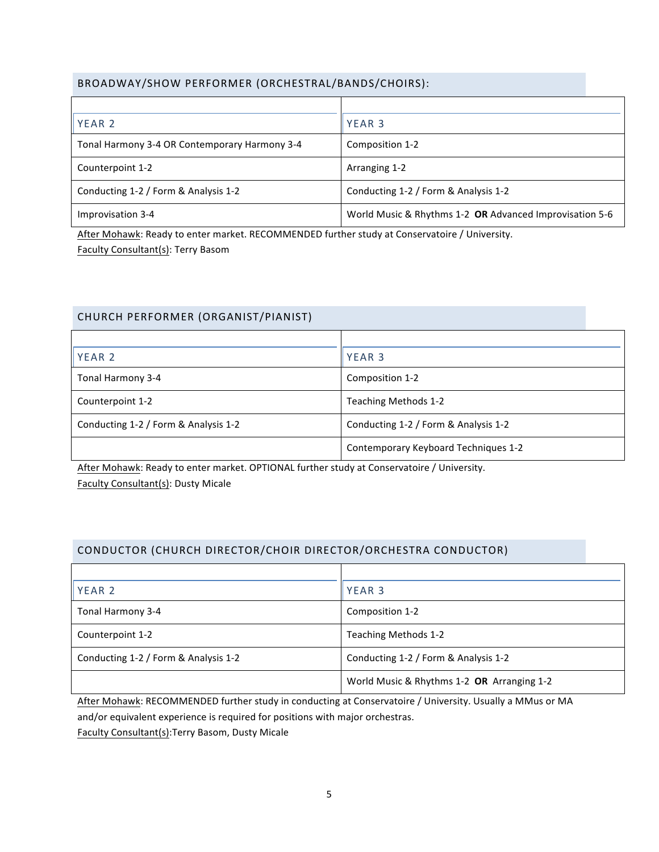#### BROADWAY/SHOW PERFORMER (ORCHESTRAL/BANDS/CHOIRS):

| YEAR 2                                        | YEAR <sub>3</sub>                                       |
|-----------------------------------------------|---------------------------------------------------------|
| Tonal Harmony 3-4 OR Contemporary Harmony 3-4 | Composition 1-2                                         |
| Counterpoint 1-2                              | Arranging 1-2                                           |
| Conducting 1-2 / Form & Analysis 1-2          | Conducting 1-2 / Form & Analysis 1-2                    |
| Improvisation 3-4                             | World Music & Rhythms 1-2 OR Advanced Improvisation 5-6 |

After Mohawk: Ready to enter market. RECOMMENDED further study at Conservatoire / University.

Faculty Consultant(s): Terry Basom

#### CHURCH PERFORMER (ORGANIST/PIANIST)

| YEAR 2                               | <b>YEAR 3</b>                        |
|--------------------------------------|--------------------------------------|
| Tonal Harmony 3-4                    | Composition 1-2                      |
| Counterpoint 1-2                     | Teaching Methods 1-2                 |
| Conducting 1-2 / Form & Analysis 1-2 | Conducting 1-2 / Form & Analysis 1-2 |
|                                      | Contemporary Keyboard Techniques 1-2 |

After Mohawk: Ready to enter market. OPTIONAL further study at Conservatoire / University. Faculty Consultant(s): Dusty Micale

## CONDUCTOR (CHURCH DIRECTOR/CHOIR DIRECTOR/ORCHESTRA CONDUCTOR)

| YEAR 2                               | YEAR <sub>3</sub>                          |
|--------------------------------------|--------------------------------------------|
| Tonal Harmony 3-4                    | Composition 1-2                            |
| Counterpoint 1-2                     | Teaching Methods 1-2                       |
| Conducting 1-2 / Form & Analysis 1-2 | Conducting 1-2 / Form & Analysis 1-2       |
|                                      | World Music & Rhythms 1-2 OR Arranging 1-2 |

After Mohawk: RECOMMENDED further study in conducting at Conservatoire / University. Usually a MMus or MA and/or equivalent experience is required for positions with major orchestras.

Faculty Consultant(s):Terry Basom, Dusty Micale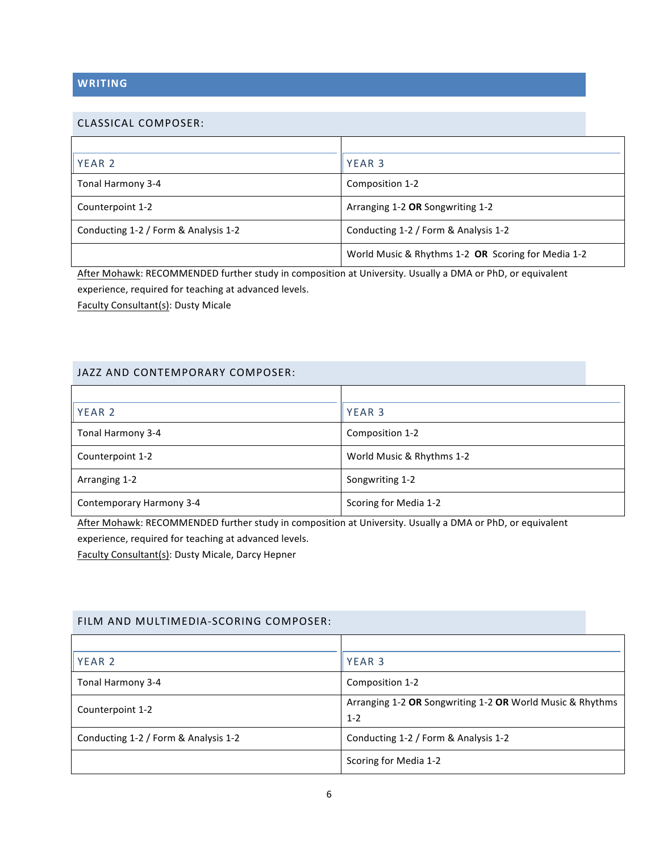# **WRITING**

#### CLASSICAL COMPOSER:

| YFAR <sub>2</sub>                    | <b>YEAR 3</b>                                      |
|--------------------------------------|----------------------------------------------------|
| Tonal Harmony 3-4                    | Composition 1-2                                    |
| Counterpoint 1-2                     | Arranging 1-2 OR Songwriting 1-2                   |
| Conducting 1-2 / Form & Analysis 1-2 | Conducting 1-2 / Form & Analysis 1-2               |
|                                      | World Music & Rhythms 1-2 OR Scoring for Media 1-2 |

After Mohawk: RECOMMENDED further study in composition at University. Usually a DMA or PhD, or equivalent experience, required for teaching at advanced levels.

Faculty Consultant(s): Dusty Micale

#### JAZZ AND CONTEMPORARY COMPOSER:

| YEAR <sub>2</sub>        | YEAR <sub>3</sub>         |
|--------------------------|---------------------------|
| Tonal Harmony 3-4        | Composition 1-2           |
| Counterpoint 1-2         | World Music & Rhythms 1-2 |
| Arranging 1-2            | Songwriting 1-2           |
| Contemporary Harmony 3-4 | Scoring for Media 1-2     |

After Mohawk: RECOMMENDED further study in composition at University. Usually a DMA or PhD, or equivalent experience, required for teaching at advanced levels.

Faculty Consultant(s): Dusty Micale, Darcy Hepner

#### FILM AND MULTIMEDIA-SCORING COMPOSER:

| YEAR 2                               | <b>YEAR 3</b>                                                        |
|--------------------------------------|----------------------------------------------------------------------|
| Tonal Harmony 3-4                    | Composition 1-2                                                      |
| Counterpoint 1-2                     | Arranging 1-2 OR Songwriting 1-2 OR World Music & Rhythms<br>$1 - 2$ |
| Conducting 1-2 / Form & Analysis 1-2 | Conducting 1-2 / Form & Analysis 1-2                                 |
|                                      | Scoring for Media 1-2                                                |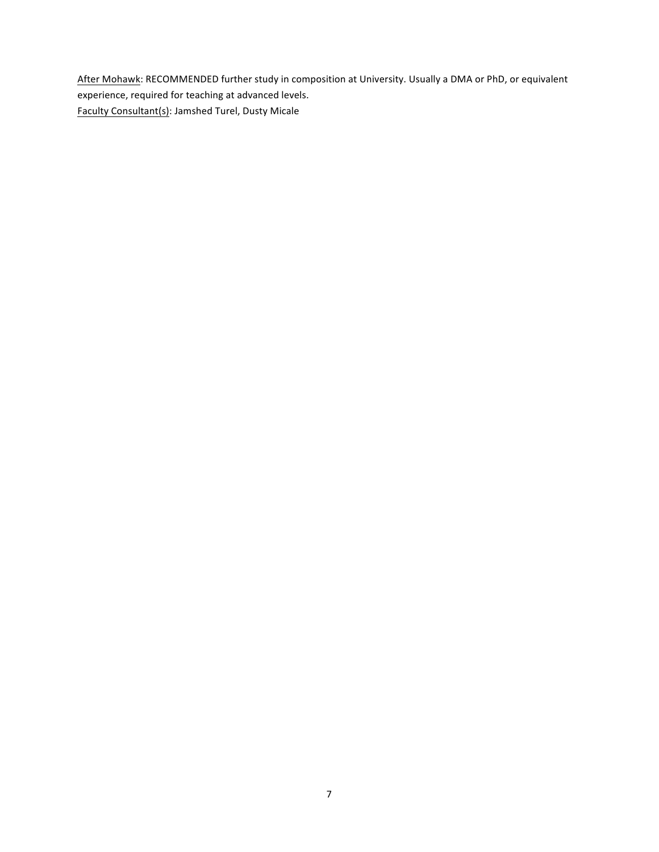After Mohawk: RECOMMENDED further study in composition at University. Usually a DMA or PhD, or equivalent experience, required for teaching at advanced levels. Faculty Consultant(s): Jamshed Turel, Dusty Micale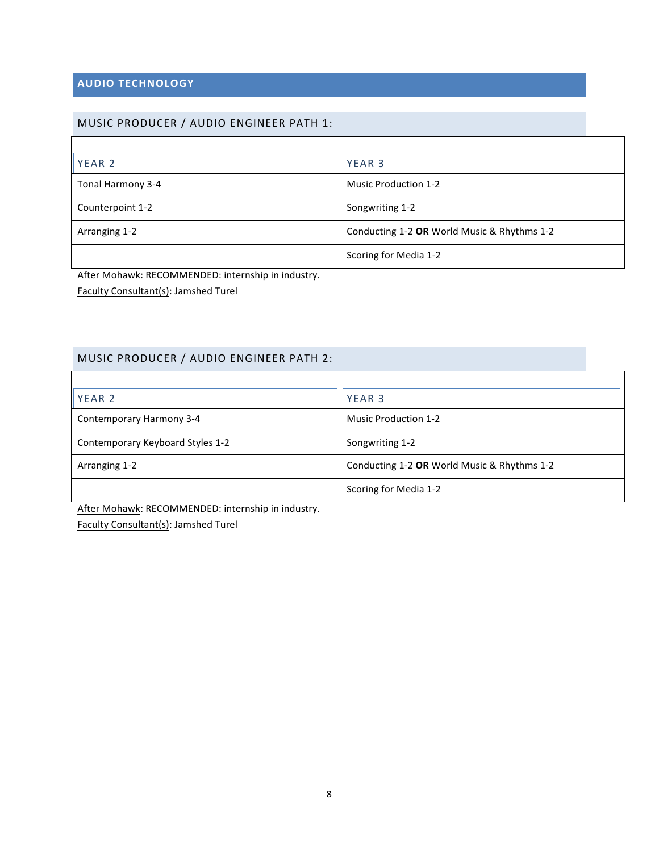# **AUDIO TECHNOLOGY**

#### MUSIC PRODUCER / AUDIO ENGINEER PATH 1:

| YEAR 2            | <b>YEAR 3</b>                               |
|-------------------|---------------------------------------------|
| Tonal Harmony 3-4 | <b>Music Production 1-2</b>                 |
| Counterpoint 1-2  | Songwriting 1-2                             |
| Arranging 1-2     | Conducting 1-2 OR World Music & Rhythms 1-2 |
|                   | Scoring for Media 1-2                       |

After Mohawk: RECOMMENDED: internship in industry.

Faculty Consultant(s): Jamshed Turel

#### MUSIC PRODUCER / AUDIO ENGINEER PATH 2:

| <b>YEAR 2</b>                    | YEAR 3                                      |
|----------------------------------|---------------------------------------------|
| Contemporary Harmony 3-4         | <b>Music Production 1-2</b>                 |
| Contemporary Keyboard Styles 1-2 | Songwriting 1-2                             |
| Arranging 1-2                    | Conducting 1-2 OR World Music & Rhythms 1-2 |
|                                  | Scoring for Media 1-2                       |

After Mohawk: RECOMMENDED: internship in industry. Faculty Consultant(s): Jamshed Turel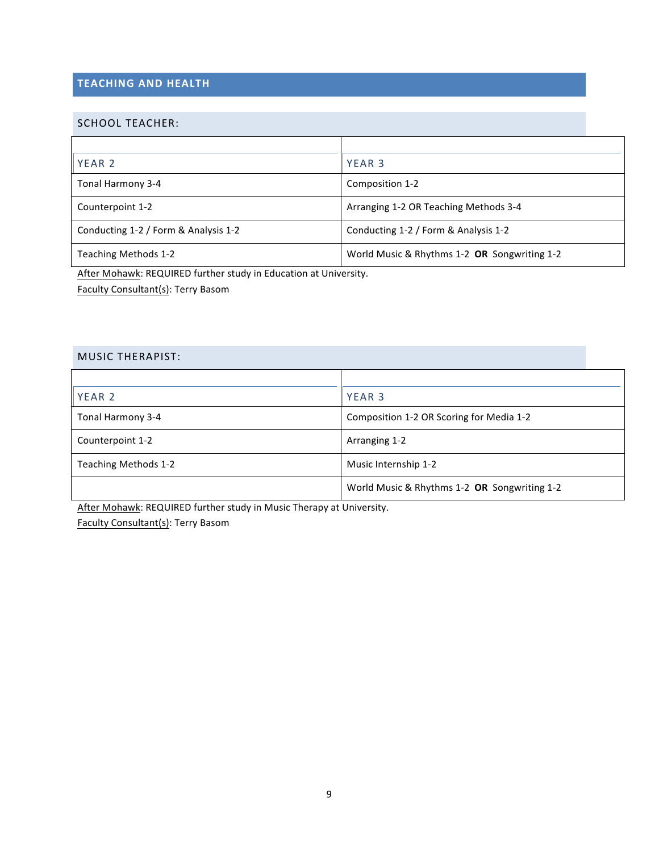# **TEACHING AND HEALTH**

#### SCHOOL TEACHER:

| YEAR 2                               | YEAR <sub>3</sub>                            |
|--------------------------------------|----------------------------------------------|
| Tonal Harmony 3-4                    | Composition 1-2                              |
| Counterpoint 1-2                     | Arranging 1-2 OR Teaching Methods 3-4        |
| Conducting 1-2 / Form & Analysis 1-2 | Conducting 1-2 / Form & Analysis 1-2         |
| Teaching Methods 1-2                 | World Music & Rhythms 1-2 OR Songwriting 1-2 |

After Mohawk: REQUIRED further study in Education at University.

Faculty Consultant(s): Terry Basom

#### MUSIC THERAPIST:

| <b>YEAR 2</b>        | YEAR <sub>3</sub>                            |
|----------------------|----------------------------------------------|
| Tonal Harmony 3-4    | Composition 1-2 OR Scoring for Media 1-2     |
| Counterpoint 1-2     | Arranging 1-2                                |
| Teaching Methods 1-2 | Music Internship 1-2                         |
|                      | World Music & Rhythms 1-2 OR Songwriting 1-2 |

After Mohawk: REQUIRED further study in Music Therapy at University. Faculty Consultant(s): Terry Basom